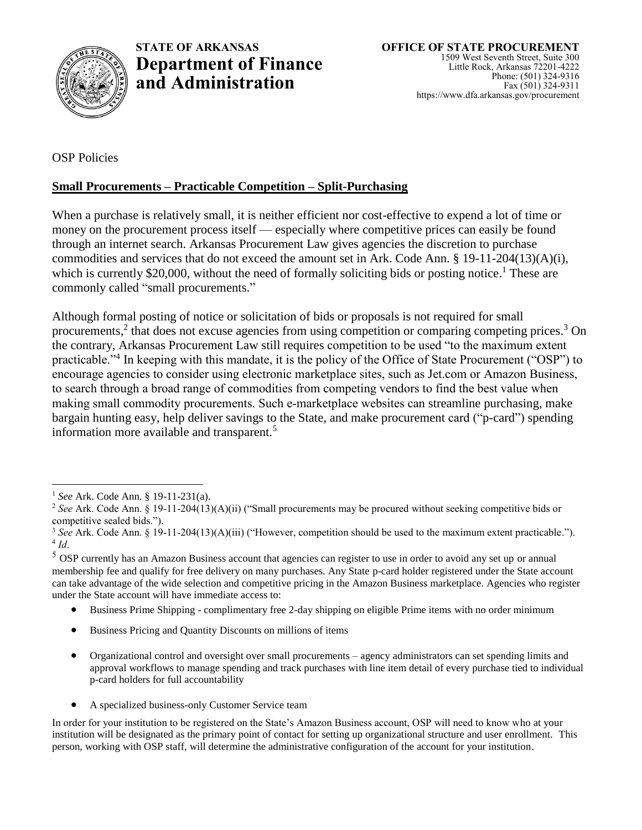

OSP Policies

## **Small Procurements – Practicable Competition – Split-Purchasing**

When a purchase is relatively small, it is neither efficient nor cost-effective to expend a lot of time or money on the procurement process itself — especially where competitive prices can easily be found through an internet search. Arkansas Procurement Law gives agencies the discretion to purchase commodities and services that do not exceed the amount set in Ark. Code Ann. § 19-11-204(13)(A)(i), which is currently \$20,000, without the need of formally soliciting bids or posting notice.<sup>1</sup> These are commonly called "small procurements."

Although formal posting of notice or solicitation of bids or proposals is not required for small procurements,<sup>2</sup> that does not excuse agencies from using competition or comparing competing prices.<sup>3</sup> On the contrary, Arkansas Procurement Law still requires competition to be used "to the maximum extent practicable."<sup>4</sup> In keeping with this mandate, it is the policy of the Office of State Procurement ("OSP") to encourage agencies to consider using electronic marketplace sites, such as Jet.com or Amazon Business, to search through a broad range of commodities from competing vendors to find the best value when making small commodity procurements. Such e-marketplace websites can streamline purchasing, make bargain hunting easy, help deliver savings to the State, and make procurement card ("p-card") spending information more available and transparent.<sup>5</sup>

 $\overline{a}$ 

<sup>5</sup> OSP currently has an Amazon Business account that agencies can register to use in order to avoid any set up or annual membership fee and qualify for free delivery on many purchases. Any State p-card holder registered under the State account can take advantage of the wide selection and competitive pricing in the Amazon Business marketplace. Agencies who register under the State account will have immediate access to:

- Business Prime Shipping complimentary free 2-day shipping on eligible Prime items with no order minimum
- Business Pricing and Quantity Discounts on millions of items
- Organizational control and oversight over small procurements agency administrators can set spending limits and approval workflows to manage spending and track purchases with line item detail of every purchase tied to individual p-card holders for full accountability
- A specialized business-only Customer Service team

In order for your institution to be registered on the State's Amazon Business account, OSP will need to know who at your institution will be designated as the primary point of contact for setting up organizational structure and user enrollment. This person, working with OSP staff, will determine the administrative configuration of the account for your institution.

<sup>1</sup> *See* Ark. Code Ann. § 19-11-231(a).

<sup>2</sup> *See* Ark. Code Ann. § 19-11-204(13)(A)(ii) ("Small procurements may be procured without seeking competitive bids or competitive sealed bids.").

<sup>3</sup> *See* Ark. Code Ann. § 19-11-204(13)(A)(iii) ("However, competition should be used to the maximum extent practicable."). 4 *Id*.